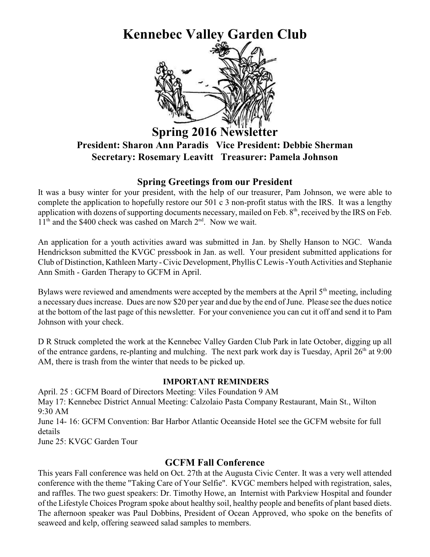# **Kennebec Valley Garden Club**



# **Spring 2016 Newslett President: Sharon Ann Paradis Vice President: Debbie Sherman Secretary: Rosemary Leavitt Treasurer: Pamela Johnson**

#### **Spring Greetings from our President**

It was a busy winter for your president, with the help of our treasurer, Pam Johnson, we were able to complete the application to hopefully restore our 501 c 3 non-profit status with the IRS. It was a lengthy application with dozens of supporting documents necessary, mailed on Feb. 8<sup>th</sup>, received by the IRS on Feb.  $11<sup>th</sup>$  and the \$400 check was cashed on March  $2<sup>nd</sup>$ . Now we wait.

An application for a youth activities award was submitted in Jan. by Shelly Hanson to NGC. Wanda Hendrickson submitted the KVGC pressbook in Jan. as well. Your president submitted applications for Club of Distinction, Kathleen Marty - Civic Development, Phyllis C Lewis -Youth Activities and Stephanie Ann Smith - Garden Therapy to GCFM in April.

Bylaws were reviewed and amendments were accepted by the members at the April  $5<sup>th</sup>$  meeting, including a necessary dues increase. Dues are now \$20 per year and due by the end of June. Please see the dues notice at the bottom of the last page of this newsletter. For your convenience you can cut it off and send it to Pam Johnson with your check.

D R Struck completed the work at the Kennebec Valley Garden Club Park in late October, digging up all of the entrance gardens, re-planting and mulching. The next park work day is Tuesday, April  $26<sup>th</sup>$  at 9:00 AM, there is trash from the winter that needs to be picked up.

#### **IMPORTANT REMINDERS**

April. 25 : GCFM Board of Directors Meeting: Viles Foundation 9 AM May 17: Kennebec District Annual Meeting: Calzolaio Pasta Company Restaurant, Main St., Wilton 9:30 AM June 14- 16: GCFM Convention: Bar Harbor Atlantic Oceanside Hotel see the GCFM website for full details June 25: KVGC Garden Tour

#### **GCFM Fall Conference**

This years Fall conference was held on Oct. 27th at the Augusta Civic Center. It was a very well attended conference with the theme "Taking Care of Your Selfie". KVGC members helped with registration, sales, and raffles. The two guest speakers: Dr. Timothy Howe, an Internist with Parkview Hospital and founder of the Lifestyle Choices Program spoke about healthy soil, healthy people and benefits of plant based diets. The afternoon speaker was Paul Dobbins, President of Ocean Approved, who spoke on the benefits of seaweed and kelp, offering seaweed salad samples to members.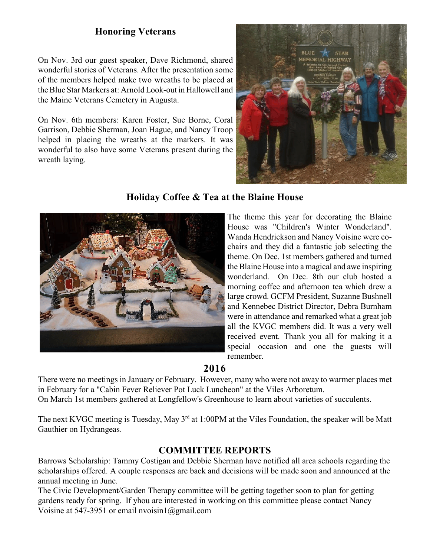## **Honoring Veterans**

On Nov. 3rd our guest speaker, Dave Richmond, shared wonderful stories of Veterans. After the presentation some of the members helped make two wreaths to be placed at the Blue Star Markers at: Arnold Look-out in Hallowell and the Maine Veterans Cemetery in Augusta.

On Nov. 6th members: Karen Foster, Sue Borne, Coral Garrison, Debbie Sherman, Joan Hague, and Nancy Troop helped in placing the wreaths at the markers. It was wonderful to also have some Veterans present during the wreath laying.



### **Holiday Coffee & Tea at the Blaine House**



The theme this year for decorating the Blaine House was "Children's Winter Wonderland". Wanda Hendrickson and Nancy Voisine were cochairs and they did a fantastic job selecting the theme. On Dec. 1st members gathered and turned the Blaine House into a magical and awe inspiring wonderland. On Dec. 8th our club hosted a morning coffee and afternoon tea which drew a large crowd. GCFM President, Suzanne Bushnell and Kennebec District Director, Debra Burnham were in attendance and remarked what a great job all the KVGC members did. It was a very well received event. Thank you all for making it a special occasion and one the guests will remember.

# **2016**

There were no meetings in January or February. However, many who were not away to warmer places met in February for a "Cabin Fever Reliever Pot Luck Luncheon" at the Viles Arboretum. On March 1st members gathered at Longfellow's Greenhouse to learn about varieties of succulents.

The next KVGC meeting is Tuesday, May  $3<sup>rd</sup>$  at 1:00PM at the Viles Foundation, the speaker will be Matt Gauthier on Hydrangeas.

## **COMMITTEE REPORTS**

Barrows Scholarship: Tammy Costigan and Debbie Sherman have notified all area schools regarding the scholarships offered. A couple responses are back and decisions will be made soon and announced at the annual meeting in June.

The Civic Development/Garden Therapy committee will be getting together soon to plan for getting gardens ready for spring. If yhou are interested in working on this committee please contact Nancy Voisine at 547-3951 or email nvoisin1@gmail.com